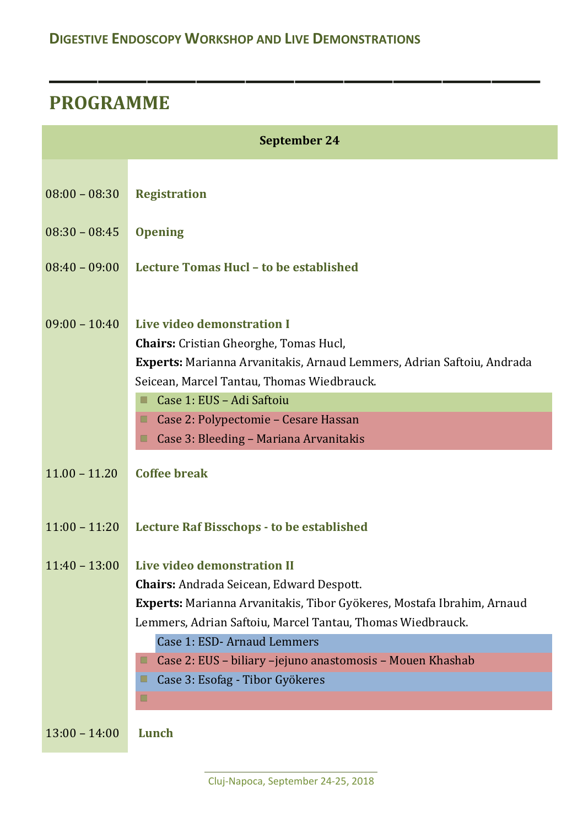## **PROGRAMME**

| September 24    |                                                                                                                                                                                                                                                                                                                            |  |
|-----------------|----------------------------------------------------------------------------------------------------------------------------------------------------------------------------------------------------------------------------------------------------------------------------------------------------------------------------|--|
| $08:00 - 08:30$ | <b>Registration</b>                                                                                                                                                                                                                                                                                                        |  |
| $08:30 - 08:45$ | <b>Opening</b>                                                                                                                                                                                                                                                                                                             |  |
| $08:40 - 09:00$ | Lecture Tomas Hucl - to be established                                                                                                                                                                                                                                                                                     |  |
| $09:00 - 10:40$ | Live video demonstration I<br>Chairs: Cristian Gheorghe, Tomas Hucl,<br>Experts: Marianna Arvanitakis, Arnaud Lemmers, Adrian Saftoiu, Andrada<br>Seicean, Marcel Tantau, Thomas Wiedbrauck.<br>Case 1: EUS - Adi Saftoiu<br>□<br>Case 2: Polypectomie - Cesare Hassan<br>□<br>Case 3: Bleeding - Mariana Arvanitakis<br>□ |  |
| $11.00 - 11.20$ | Coffee break                                                                                                                                                                                                                                                                                                               |  |
| $11:00 - 11:20$ | Lecture Raf Bisschops - to be established                                                                                                                                                                                                                                                                                  |  |
| $11:40 - 13:00$ | Live video demonstration II<br><b>Chairs:</b> Andrada Seicean, Edward Despott.<br>Experts: Marianna Arvanitakis, Tibor Gyökeres, Mostafa Ibrahim, Arnaud<br>Lemmers, Adrian Saftoiu, Marcel Tantau, Thomas Wiedbrauck.<br>Case 1: ESD-Arnaud Lemmers                                                                       |  |
|                 | Case 2: EUS - biliary -jejuno anastomosis - Mouen Khashab<br>Case 3: Esofag - Tibor Gyökeres<br>ш                                                                                                                                                                                                                          |  |
|                 |                                                                                                                                                                                                                                                                                                                            |  |
| $13:00 - 14:00$ | Lunch                                                                                                                                                                                                                                                                                                                      |  |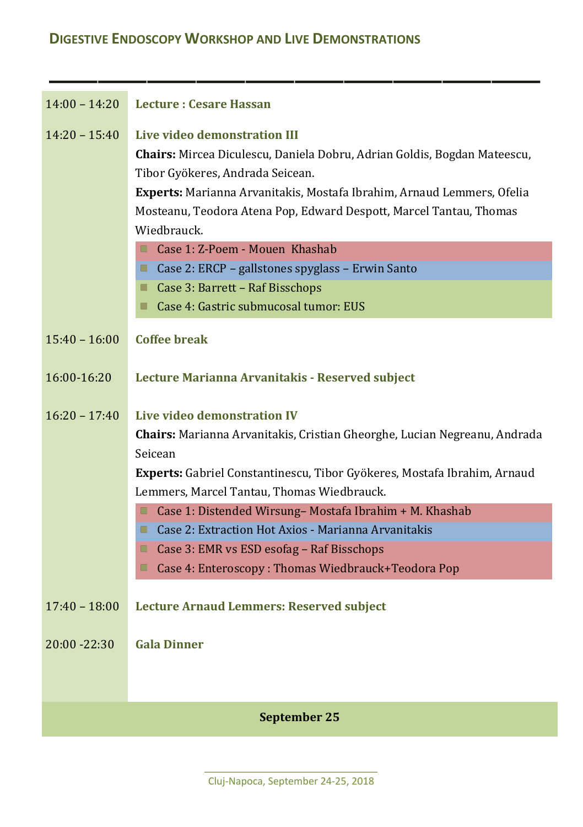| $14:00 - 14:20$ | <b>Lecture: Cesare Hassan</b>                                                                                                                                                                                                                                                                               |  |
|-----------------|-------------------------------------------------------------------------------------------------------------------------------------------------------------------------------------------------------------------------------------------------------------------------------------------------------------|--|
| $14:20 - 15:40$ | Live video demonstration III<br>Chairs: Mircea Diculescu, Daniela Dobru, Adrian Goldis, Bogdan Mateescu,<br>Tibor Gyökeres, Andrada Seicean.<br>Experts: Marianna Arvanitakis, Mostafa Ibrahim, Arnaud Lemmers, Ofelia<br>Mosteanu, Teodora Atena Pop, Edward Despott, Marcel Tantau, Thomas<br>Wiedbrauck. |  |
|                 | Case 1: Z-Poem - Mouen Khashab                                                                                                                                                                                                                                                                              |  |
|                 | Case 2: ERCP - gallstones spyglass - Erwin Santo<br>Case 3: Barrett - Raf Bisschops                                                                                                                                                                                                                         |  |
|                 | Case 4: Gastric submucosal tumor: EUS<br>■                                                                                                                                                                                                                                                                  |  |
| $15:40 - 16:00$ | Coffee break                                                                                                                                                                                                                                                                                                |  |
| 16:00-16:20     | Lecture Marianna Arvanitakis - Reserved subject                                                                                                                                                                                                                                                             |  |
| $16:20 - 17:40$ | Live video demonstration IV                                                                                                                                                                                                                                                                                 |  |
|                 | Chairs: Marianna Arvanitakis, Cristian Gheorghe, Lucian Negreanu, Andrada<br>Seicean                                                                                                                                                                                                                        |  |
|                 | Experts: Gabriel Constantinescu, Tibor Gyökeres, Mostafa Ibrahim, Arnaud                                                                                                                                                                                                                                    |  |
|                 | Lemmers, Marcel Tantau, Thomas Wiedbrauck.                                                                                                                                                                                                                                                                  |  |
|                 | Case 1: Distended Wirsung- Mostafa Ibrahim + M. Khashab<br>П                                                                                                                                                                                                                                                |  |
|                 | Case 2: Extraction Hot Axios - Marianna Arvanitakis<br>٠                                                                                                                                                                                                                                                    |  |
|                 | Case 3: EMR vs ESD esofag - Raf Bisschops<br>Case 4: Enteroscopy: Thomas Wiedbrauck+Teodora Pop<br>■                                                                                                                                                                                                        |  |
|                 |                                                                                                                                                                                                                                                                                                             |  |
| $17:40 - 18:00$ | <b>Lecture Arnaud Lemmers: Reserved subject</b>                                                                                                                                                                                                                                                             |  |
| $20:00 - 22:30$ | <b>Gala Dinner</b>                                                                                                                                                                                                                                                                                          |  |
|                 |                                                                                                                                                                                                                                                                                                             |  |
| September 25    |                                                                                                                                                                                                                                                                                                             |  |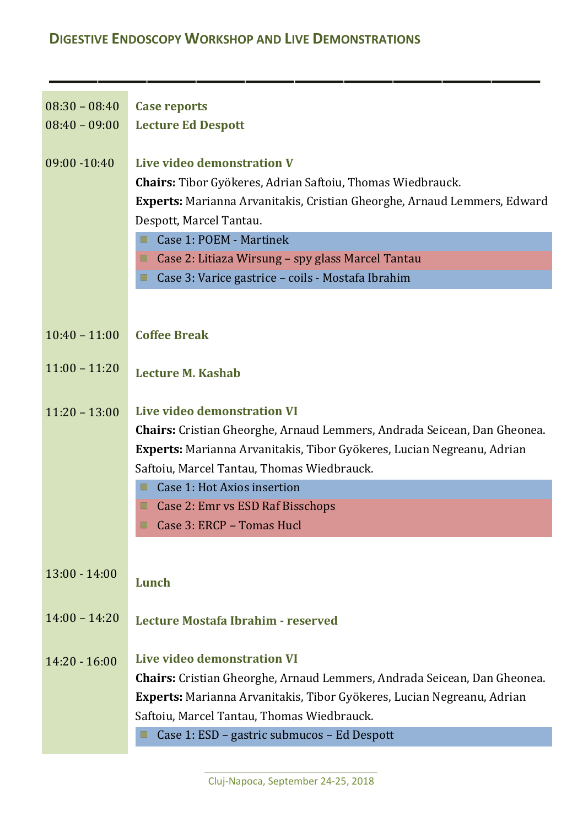## **DIGESTIVE ENDOSCOPY WORKSHOP AND LIVE DEMONSTRATIONS**

| $08:30 - 08:40$ | <b>Case reports</b>                                                                                                                                                                                                                                                                                                                       |
|-----------------|-------------------------------------------------------------------------------------------------------------------------------------------------------------------------------------------------------------------------------------------------------------------------------------------------------------------------------------------|
| $08:40 - 09:00$ | <b>Lecture Ed Despott</b>                                                                                                                                                                                                                                                                                                                 |
| 09:00 -10:40    | Live video demonstration V<br>Chairs: Tibor Gyökeres, Adrian Saftoiu, Thomas Wiedbrauck.<br>Experts: Marianna Arvanitakis, Cristian Gheorghe, Arnaud Lemmers, Edward<br>Despott, Marcel Tantau.<br>Case 1: POEM - Martinek<br>Case 2: Litiaza Wirsung - spy glass Marcel Tantau<br>□<br>Case 3: Varice gastrice - coils - Mostafa Ibrahim |
| $10:40 - 11:00$ | <b>Coffee Break</b>                                                                                                                                                                                                                                                                                                                       |
| $11:00 - 11:20$ | Lecture M. Kashab                                                                                                                                                                                                                                                                                                                         |
| $11:20 - 13:00$ | Live video demonstration VI<br>Chairs: Cristian Gheorghe, Arnaud Lemmers, Andrada Seicean, Dan Gheonea.<br>Experts: Marianna Arvanitakis, Tibor Gyökeres, Lucian Negreanu, Adrian<br>Saftoiu, Marcel Tantau, Thomas Wiedbrauck.<br>Case 1: Hot Axios insertion<br>Case 2: Emr vs ESD Raf Bisschops<br>Case 3: ERCP - Tomas Hucl<br>■      |
|                 |                                                                                                                                                                                                                                                                                                                                           |
| $13:00 - 14:00$ | Lunch                                                                                                                                                                                                                                                                                                                                     |
| $14:00 - 14:20$ | Lecture Mostafa Ibrahim - reserved                                                                                                                                                                                                                                                                                                        |
| $14:20 - 16:00$ | Live video demonstration VI<br><b>Chairs:</b> Cristian Gheorghe, Arnaud Lemmers, Andrada Seicean, Dan Gheonea.<br>Experts: Marianna Arvanitakis, Tibor Gyökeres, Lucian Negreanu, Adrian<br>Saftoiu, Marcel Tantau, Thomas Wiedbrauck.<br>Case 1: ESD - gastric submucos - Ed Despott<br>■                                                |
|                 |                                                                                                                                                                                                                                                                                                                                           |